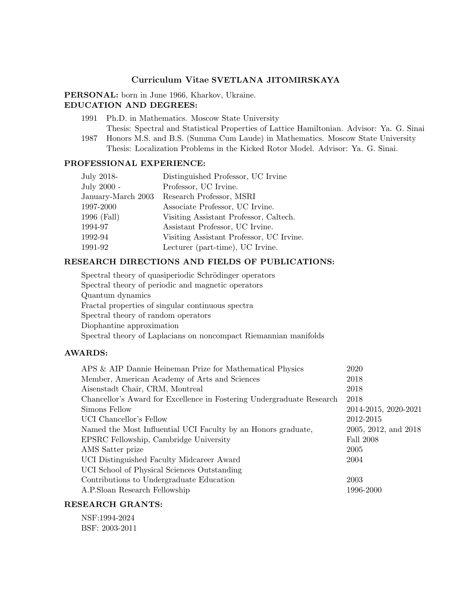# Curriculum Vitae SVETLANA JITOMIRSKAYA

PERSONAL: born in June 1966, Kharkov, Ukraine. EDUCATION AND DEGREES:

- 1991 Ph.D. in Mathematics. Moscow State University Thesis: Spectral and Statistical Properties of Lattice Hamiltonian. Advisor: Ya. G. Sinai
- 1987 Honors M.S. and B.S. (Summa Cum Laude) in Mathematics. Moscow State University Thesis: Localization Problems in the Kicked Rotor Model. Advisor: Ya. G. Sinai.

# PROFESSIONAL EXPERIENCE:

| July 2018-         | Distinguished Professor, UC Irvine       |
|--------------------|------------------------------------------|
| July 2000 -        | Professor, UC Irvine.                    |
| January-March 2003 | Research Professor, MSRI                 |
| 1997-2000          | Associate Professor, UC Irvine.          |
| 1996 (Fall)        | Visiting Assistant Professor, Caltech.   |
| 1994-97            | Assistant Professor, UC Irvine.          |
| 1992-94            | Visiting Assistant Professor, UC Irvine. |
| 1991-92            | Lecturer (part-time), UC Irvine.         |
|                    |                                          |

# RESEARCH DIRECTIONS AND FIELDS OF PUBLICATIONS:

Spectral theory of quasiperiodic Schrödinger operators Spectral theory of periodic and magnetic operators Quantum dynamics Fractal properties of singular continuous spectra Spectral theory of random operators Diophantine approximation Spectral theory of Laplacians on noncompact Riemannian manifolds

# AWARDS:

| APS & AIP Dannie Heineman Prize for Mathematical Physics              | 2020                 |
|-----------------------------------------------------------------------|----------------------|
| Member, American Academy of Arts and Sciences                         | 2018                 |
| Aisenstadt Chair, CRM, Montreal                                       | 2018                 |
| Chancellor's Award for Excellence in Fostering Undergraduate Research | 2018                 |
| Simons Fellow                                                         | 2014-2015, 2020-2021 |
| UCI Chancellor's Fellow                                               | 2012-2015            |
| Named the Most Influential UCI Faculty by an Honors graduate,         | 2005, 2012, and 2018 |
| EPSRC Fellowship, Cambridge University                                | <b>Fall 2008</b>     |
| AMS Satter prize                                                      | 2005                 |
| UCI Distinguished Faculty Midcareer Award                             | 2004                 |
| UCI School of Physical Sciences Outstanding                           |                      |
| Contributions to Undergraduate Education                              | 2003                 |
| A.P.Sloan Research Fellowship                                         | 1996-2000            |
|                                                                       |                      |

# RESEARCH GRANTS:

NSF:1994-2024 BSF: 2003-2011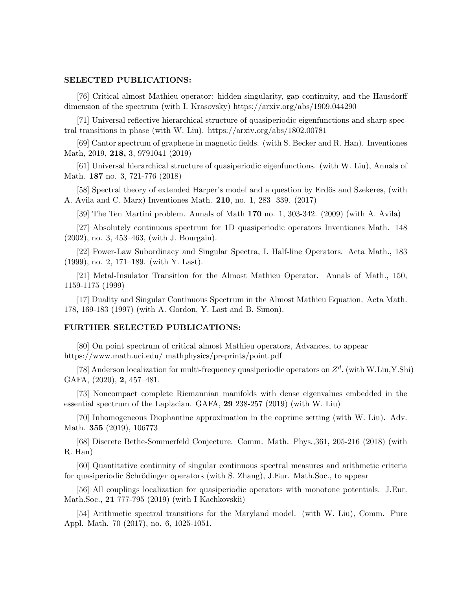#### SELECTED PUBLICATIONS:

[76] Critical almost Mathieu operator: hidden singularity, gap continuity, and the Hausdorff dimension of the spectrum (with I. Krasovsky) https://arxiv.org/abs/1909.044290

[71] Universal reflective-hierarchical structure of quasiperiodic eigenfunctions and sharp spectral transitions in phase (with W. Liu). https://arxiv.org/abs/1802.00781

[69] Cantor spectrum of graphene in magnetic fields. (with S. Becker and R. Han). Inventiones Math, 2019, 218, 3, 9791041 (2019)

[61] Universal hierarchical structure of quasiperiodic eigenfunctions. (with W. Liu), Annals of Math. 187 no. 3, 721-776 (2018)

[58] Spectral theory of extended Harper's model and a question by Erdös and Szekeres, (with A. Avila and C. Marx) Inventiones Math. 210, no. 1, 283 339. (2017)

[39] The Ten Martini problem. Annals of Math 170 no. 1, 303-342. (2009) (with A. Avila)

[27] Absolutely continuous spectrum for 1D quasiperiodic operators Inventiones Math. 148 (2002), no. 3, 453–463, (with J. Bourgain).

[22] Power-Law Subordinacy and Singular Spectra, I. Half-line Operators. Acta Math., 183 (1999), no. 2, 171–189. (with Y. Last).

[21] Metal-Insulator Transition for the Almost Mathieu Operator. Annals of Math., 150, 1159-1175 (1999)

[17] Duality and Singular Continuous Spectrum in the Almost Mathieu Equation. Acta Math. 178, 169-183 (1997) (with A. Gordon, Y. Last and B. Simon).

### FURTHER SELECTED PUBLICATIONS:

[80] On point spectrum of critical almost Mathieu operators, Advances, to appear https://www.math.uci.edu/ mathphysics/preprints/point.pdf

[78] Anderson localization for multi-frequency quasiperiodic operators on  $Z<sup>d</sup>$ . (with W.Liu, Y.Shi) GAFA, (2020), 2, 457–481.

[73] Noncompact complete Riemannian manifolds with dense eigenvalues embedded in the essential spectrum of the Laplacian. GAFA, 29 238-257 (2019) (with W. Liu)

[70] Inhomogeneous Diophantine approximation in the coprime setting (with W. Liu). Adv. Math. 355 (2019), 106773

[68] Discrete Bethe-Sommerfeld Conjecture. Comm. Math. Phys.,361, 205-216 (2018) (with R. Han)

[60] Quantitative continuity of singular continuous spectral measures and arithmetic criteria for quasiperiodic Schrödinger operators (with S. Zhang), J.Eur. Math.Soc., to appear

[56] All couplings localization for quasiperiodic operators with monotone potentials. J.Eur. Math.Soc., 21 777-795 (2019) (with I Kachkovskii)

[54] Arithmetic spectral transitions for the Maryland model. (with W. Liu), Comm. Pure Appl. Math. 70 (2017), no. 6, 1025-1051.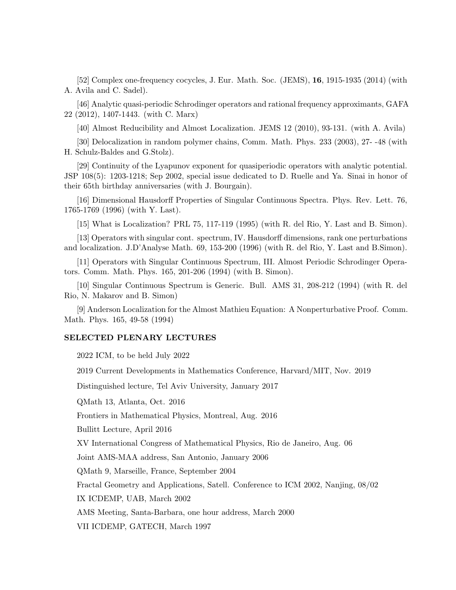[52] Complex one-frequency cocycles, J. Eur. Math. Soc. (JEMS), 16, 1915-1935 (2014) (with A. Avila and C. Sadel).

[46] Analytic quasi-periodic Schrodinger operators and rational frequency approximants, GAFA 22 (2012), 1407-1443. (with C. Marx)

[40] Almost Reducibility and Almost Localization. JEMS 12 (2010), 93-131. (with A. Avila)

[30] Delocalization in random polymer chains, Comm. Math. Phys. 233 (2003), 27- -48 (with H. Schulz-Baldes and G.Stolz).

[29] Continuity of the Lyapunov exponent for quasiperiodic operators with analytic potential. JSP 108(5): 1203-1218; Sep 2002, special issue dedicated to D. Ruelle and Ya. Sinai in honor of their 65th birthday anniversaries (with J. Bourgain).

[16] Dimensional Hausdorff Properties of Singular Continuous Spectra. Phys. Rev. Lett. 76, 1765-1769 (1996) (with Y. Last).

[15] What is Localization? PRL 75, 117-119 (1995) (with R. del Rio, Y. Last and B. Simon).

[13] Operators with singular cont. spectrum, IV. Hausdorff dimensions, rank one perturbations and localization. J.D'Analyse Math. 69, 153-200 (1996) (with R. del Rio, Y. Last and B.Simon).

[11] Operators with Singular Continuous Spectrum, III. Almost Periodic Schrodinger Operators. Comm. Math. Phys. 165, 201-206 (1994) (with B. Simon).

[10] Singular Continuous Spectrum is Generic. Bull. AMS 31, 208-212 (1994) (with R. del Rio, N. Makarov and B. Simon)

[9] Anderson Localization for the Almost Mathieu Equation: A Nonperturbative Proof. Comm. Math. Phys. 165, 49-58 (1994)

#### SELECTED PLENARY LECTURES

2022 ICM, to be held July 2022

2019 Current Developments in Mathematics Conference, Harvard/MIT, Nov. 2019

Distinguished lecture, Tel Aviv University, January 2017

QMath 13, Atlanta, Oct. 2016

Frontiers in Mathematical Physics, Montreal, Aug. 2016

Bullitt Lecture, April 2016

XV International Congress of Mathematical Physics, Rio de Janeiro, Aug. 06

Joint AMS-MAA address, San Antonio, January 2006

QMath 9, Marseille, France, September 2004

Fractal Geometry and Applications, Satell. Conference to ICM 2002, Nanjing, 08/02

IX ICDEMP, UAB, March 2002

AMS Meeting, Santa-Barbara, one hour address, March 2000

VII ICDEMP, GATECH, March 1997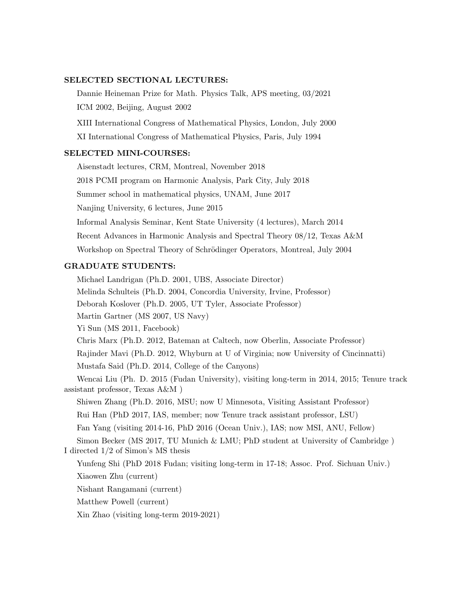### SELECTED SECTIONAL LECTURES:

Dannie Heineman Prize for Math. Physics Talk, APS meeting, 03/2021 ICM 2002, Beijing, August 2002

XIII International Congress of Mathematical Physics, London, July 2000

XI International Congress of Mathematical Physics, Paris, July 1994

# SELECTED MINI-COURSES:

Aisenstadt lectures, CRM, Montreal, November 2018

2018 PCMI program on Harmonic Analysis, Park City, July 2018

Summer school in mathematical physics, UNAM, June 2017

Nanjing University, 6 lectures, June 2015

Informal Analysis Seminar, Kent State University (4 lectures), March 2014

Recent Advances in Harmonic Analysis and Spectral Theory 08/12, Texas A&M

Workshop on Spectral Theory of Schrödinger Operators, Montreal, July 2004

# GRADUATE STUDENTS:

Michael Landrigan (Ph.D. 2001, UBS, Associate Director) Melinda Schulteis (Ph.D. 2004, Concordia University, Irvine, Professor) Deborah Koslover (Ph.D. 2005, UT Tyler, Associate Professor) Martin Gartner (MS 2007, US Navy) Yi Sun (MS 2011, Facebook) Chris Marx (Ph.D. 2012, Bateman at Caltech, now Oberlin, Associate Professor) Rajinder Mavi (Ph.D. 2012, Whyburn at U of Virginia; now University of Cincinnatti) Mustafa Said (Ph.D. 2014, College of the Canyons) Wencai Liu (Ph. D. 2015 (Fudan University), visiting long-term in 2014, 2015; Tenure track assistant professor, Texas A&M ) Shiwen Zhang (Ph.D. 2016, MSU; now U Minnesota, Visiting Assistant Professor) Rui Han (PhD 2017, IAS, member; now Tenure track assistant professor, LSU) Fan Yang (visiting 2014-16, PhD 2016 (Ocean Univ.), IAS; now MSI, ANU, Fellow) Simon Becker (MS 2017, TU Munich & LMU; PhD student at University of Cambridge ) I directed 1/2 of Simon's MS thesis Yunfeng Shi (PhD 2018 Fudan; visiting long-term in 17-18; Assoc. Prof. Sichuan Univ.) Xiaowen Zhu (current) Nishant Rangamani (current) Matthew Powell (current) Xin Zhao (visiting long-term 2019-2021)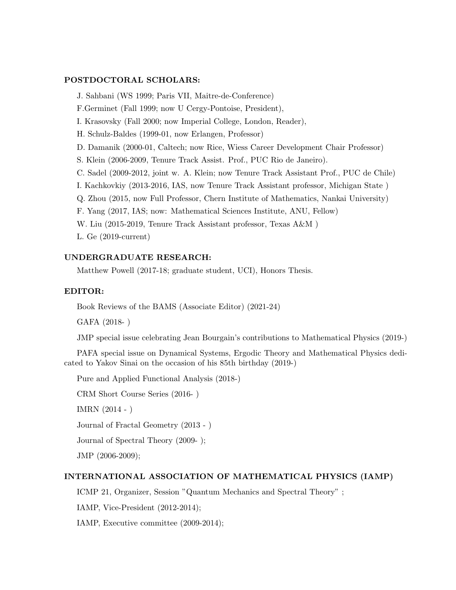## POSTDOCTORAL SCHOLARS:

J. Sahbani (WS 1999; Paris VII, Maitre-de-Conference) F.Germinet (Fall 1999; now U Cergy-Pontoise, President), I. Krasovsky (Fall 2000; now Imperial College, London, Reader), H. Schulz-Baldes (1999-01, now Erlangen, Professor) D. Damanik (2000-01, Caltech; now Rice, Wiess Career Development Chair Professor) S. Klein (2006-2009, Tenure Track Assist. Prof., PUC Rio de Janeiro). C. Sadel (2009-2012, joint w. A. Klein; now Tenure Track Assistant Prof., PUC de Chile) I. Kachkovkiy (2013-2016, IAS, now Tenure Track Assistant professor, Michigan State ) Q. Zhou (2015, now Full Professor, Chern Institute of Mathematics, Nankai University) F. Yang (2017, IAS; now: Mathematical Sciences Institute, ANU, Fellow) W. Liu (2015-2019, Tenure Track Assistant professor, Texas A&M ) L. Ge (2019-current)

# UNDERGRADUATE RESEARCH:

Matthew Powell (2017-18; graduate student, UCI), Honors Thesis.

# EDITOR:

Book Reviews of the BAMS (Associate Editor) (2021-24)

GAFA (2018- )

JMP special issue celebrating Jean Bourgain's contributions to Mathematical Physics (2019-)

PAFA special issue on Dynamical Systems, Ergodic Theory and Mathematical Physics dedicated to Yakov Sinai on the occasion of his 85th birthday (2019-)

Pure and Applied Functional Analysis (2018-)

CRM Short Course Series (2016- )

IMRN (2014 - )

Journal of Fractal Geometry (2013 - )

Journal of Spectral Theory (2009- );

JMP (2006-2009);

#### INTERNATIONAL ASSOCIATION OF MATHEMATICAL PHYSICS (IAMP)

ICMP 21, Organizer, Session "Quantum Mechanics and Spectral Theory" ;

IAMP, Vice-President (2012-2014);

IAMP, Executive committee (2009-2014);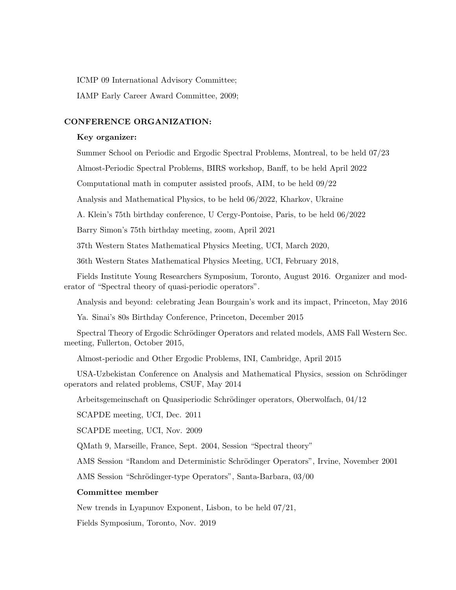ICMP 09 International Advisory Committee;

IAMP Early Career Award Committee, 2009;

## CONFERENCE ORGANIZATION:

#### Key organizer:

Summer School on Periodic and Ergodic Spectral Problems, Montreal, to be held 07/23

Almost-Periodic Spectral Problems, BIRS workshop, Banff, to be held April 2022

Computational math in computer assisted proofs, AIM, to be held 09/22

Analysis and Mathematical Physics, to be held 06/2022, Kharkov, Ukraine

A. Klein's 75th birthday conference, U Cergy-Pontoise, Paris, to be held 06/2022

Barry Simon's 75th birthday meeting, zoom, April 2021

37th Western States Mathematical Physics Meeting, UCI, March 2020,

36th Western States Mathematical Physics Meeting, UCI, February 2018,

Fields Institute Young Researchers Symposium, Toronto, August 2016. Organizer and moderator of "Spectral theory of quasi-periodic operators".

Analysis and beyond: celebrating Jean Bourgain's work and its impact, Princeton, May 2016

Ya. Sinai's 80s Birthday Conference, Princeton, December 2015

Spectral Theory of Ergodic Schrödinger Operators and related models, AMS Fall Western Sec. meeting, Fullerton, October 2015,

Almost-periodic and Other Ergodic Problems, INI, Cambridge, April 2015

USA-Uzbekistan Conference on Analysis and Mathematical Physics, session on Schrödinger operators and related problems, CSUF, May 2014

Arbeitsgemeinschaft on Quasiperiodic Schrödinger operators, Oberwolfach, 04/12

SCAPDE meeting, UCI, Dec. 2011

SCAPDE meeting, UCI, Nov. 2009

QMath 9, Marseille, France, Sept. 2004, Session "Spectral theory"

AMS Session "Random and Deterministic Schrödinger Operators", Irvine, November 2001

AMS Session "Schrödinger-type Operators", Santa-Barbara, 03/00

### Committee member

New trends in Lyapunov Exponent, Lisbon, to be held 07/21,

Fields Symposium, Toronto, Nov. 2019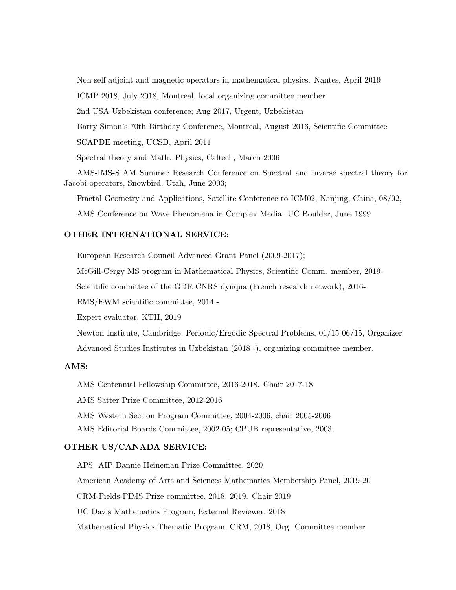Non-self adjoint and magnetic operators in mathematical physics. Nantes, April 2019

ICMP 2018, July 2018, Montreal, local organizing committee member

2nd USA-Uzbekistan conference; Aug 2017, Urgent, Uzbekistan

Barry Simon's 70th Birthday Conference, Montreal, August 2016, Scientific Committee

SCAPDE meeting, UCSD, April 2011

Spectral theory and Math. Physics, Caltech, March 2006

AMS-IMS-SIAM Summer Research Conference on Spectral and inverse spectral theory for Jacobi operators, Snowbird, Utah, June 2003;

Fractal Geometry and Applications, Satellite Conference to ICM02, Nanjing, China, 08/02,

AMS Conference on Wave Phenomena in Complex Media. UC Boulder, June 1999

# OTHER INTERNATIONAL SERVICE:

European Research Council Advanced Grant Panel (2009-2017);

McGill-Cergy MS program in Mathematical Physics, Scientific Comm. member, 2019-

Scientific committee of the GDR CNRS dynqua (French research network), 2016-

EMS/EWM scientific committee, 2014 -

Expert evaluator, KTH, 2019

Newton Institute, Cambridge, Periodic/Ergodic Spectral Problems, 01/15-06/15, Organizer Advanced Studies Institutes in Uzbekistan (2018 -), organizing committee member.

# AMS:

AMS Centennial Fellowship Committee, 2016-2018. Chair 2017-18

AMS Satter Prize Committee, 2012-2016

AMS Western Section Program Committee, 2004-2006, chair 2005-2006

AMS Editorial Boards Committee, 2002-05; CPUB representative, 2003;

# OTHER US/CANADA SERVICE:

APS AIP Dannie Heineman Prize Committee, 2020 American Academy of Arts and Sciences Mathematics Membership Panel, 2019-20 CRM-Fields-PIMS Prize committee, 2018, 2019. Chair 2019 UC Davis Mathematics Program, External Reviewer, 2018 Mathematical Physics Thematic Program, CRM, 2018, Org. Committee member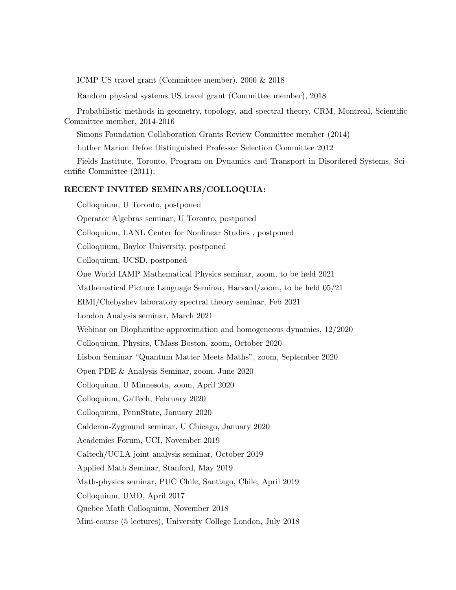ICMP US travel grant (Committee member), 2000 & 2018

Random physical systems US travel grant (Committee member), 2018

Probabilistic methods in geometry, topology, and spectral theory, CRM, Montreal, Scientific Committee member, 2014-2016

Simons Foundation Collaboration Grants Review Committee member (2014)

Luther Marion Defoe Distinguished Professor Selection Committee 2012

Fields Institute, Toronto, Program on Dynamics and Transport in Disordered Systems, Scientific Committee (2011);

# RECENT INVITED SEMINARS/COLLOQUIA:

Colloquium, U Toronto, postponed Operator Algebras seminar, U Toronto, postponed Colloquium, LANL Center for Nonlinear Studies , postponed Colloquium, Baylor University, postponed Colloquium, UCSD, postponed One World IAMP Mathematical Physics seminar, zoom, to be held 2021 Mathematical Picture Language Seminar, Harvard/zoom, to be held 05/21 EIMI/Chebyshev laboratory spectral theory seminar, Feb 2021 London Analysis seminar, March 2021 Webinar on Diophantine approximation and homogeneous dynamics, 12/2020 Colloquium, Physics, UMass Boston, zoom, October 2020 Lisbon Seminar "Quantum Matter Meets Maths", zoom, September 2020 Open PDE & Analysis Seminar, zoom, June 2020 Colloquium, U Minnesota, zoom, April 2020 Colloquium, GaTech, February 2020 Colloquium, PennState, January 2020 Calderon-Zygmund seminar, U Chicago, January 2020 Academies Forum, UCI, November 2019 Caltech/UCLA joint analysis seminar, October 2019 Applied Math Seminar, Stanford, May 2019 Math-physics seminar, PUC Chile, Santiago, Chile, April 2019 Colloquium, UMD, April 2017 Quebec Math Colloquium, November 2018 Mini-course (5 lectures), University College London, July 2018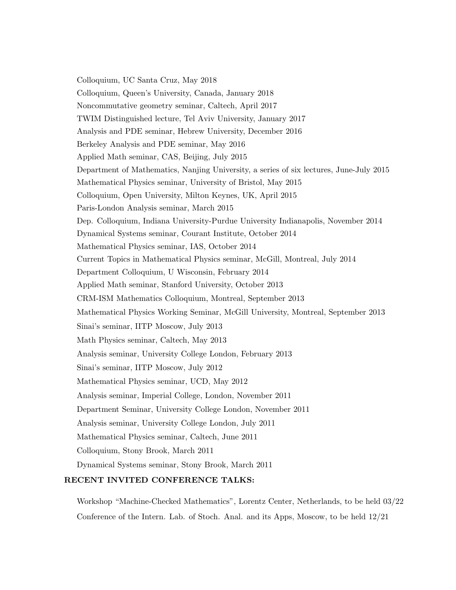Colloquium, UC Santa Cruz, May 2018 Colloquium, Queen's University, Canada, January 2018 Noncommutative geometry seminar, Caltech, April 2017 TWIM Distinguished lecture, Tel Aviv University, January 2017 Analysis and PDE seminar, Hebrew University, December 2016 Berkeley Analysis and PDE seminar, May 2016 Applied Math seminar, CAS, Beijing, July 2015 Department of Mathematics, Nanjing University, a series of six lectures, June-July 2015 Mathematical Physics seminar, University of Bristol, May 2015 Colloquium, Open University, Milton Keynes, UK, April 2015 Paris-London Analysis seminar, March 2015 Dep. Colloquium, Indiana University-Purdue University Indianapolis, November 2014 Dynamical Systems seminar, Courant Institute, October 2014 Mathematical Physics seminar, IAS, October 2014 Current Topics in Mathematical Physics seminar, McGill, Montreal, July 2014 Department Colloquium, U Wisconsin, February 2014 Applied Math seminar, Stanford University, October 2013 CRM-ISM Mathematics Colloquium, Montreal, September 2013 Mathematical Physics Working Seminar, McGill University, Montreal, September 2013 Sinai's seminar, IITP Moscow, July 2013 Math Physics seminar, Caltech, May 2013 Analysis seminar, University College London, February 2013 Sinai's seminar, IITP Moscow, July 2012 Mathematical Physics seminar, UCD, May 2012 Analysis seminar, Imperial College, London, November 2011 Department Seminar, University College London, November 2011 Analysis seminar, University College London, July 2011 Mathematical Physics seminar, Caltech, June 2011 Colloquium, Stony Brook, March 2011 Dynamical Systems seminar, Stony Brook, March 2011

# RECENT INVITED CONFERENCE TALKS:

Workshop "Machine-Checked Mathematics", Lorentz Center, Netherlands, to be held 03/22 Conference of the Intern. Lab. of Stoch. Anal. and its Apps, Moscow, to be held 12/21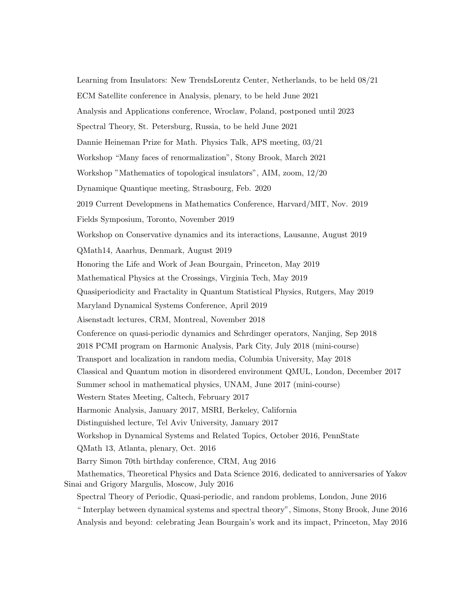Learning from Insulators: New TrendsLorentz Center, Netherlands, to be held 08/21 ECM Satellite conference in Analysis, plenary, to be held June 2021 Analysis and Applications conference, Wroclaw, Poland, postponed until 2023 Spectral Theory, St. Petersburg, Russia, to be held June 2021 Dannie Heineman Prize for Math. Physics Talk, APS meeting, 03/21 Workshop "Many faces of renormalization", Stony Brook, March 2021 Workshop "Mathematics of topological insulators", AIM, zoom, 12/20 Dynamique Quantique meeting, Strasbourg, Feb. 2020 2019 Current Developmens in Mathematics Conference, Harvard/MIT, Nov. 2019 Fields Symposium, Toronto, November 2019 Workshop on Conservative dynamics and its interactions, Lausanne, August 2019 QMath14, Aaarhus, Denmark, August 2019 Honoring the Life and Work of Jean Bourgain, Princeton, May 2019 Mathematical Physics at the Crossings, Virginia Tech, May 2019 Quasiperiodicity and Fractality in Quantum Statistical Physics, Rutgers, May 2019 Maryland Dynamical Systems Conference, April 2019 Aisenstadt lectures, CRM, Montreal, November 2018 Conference on quasi-periodic dynamics and Schrdinger operators, Nanjing, Sep 2018 2018 PCMI program on Harmonic Analysis, Park City, July 2018 (mini-course) Transport and localization in random media, Columbia University, May 2018 Classical and Quantum motion in disordered environment QMUL, London, December 2017 Summer school in mathematical physics, UNAM, June 2017 (mini-course) Western States Meeting, Caltech, February 2017 Harmonic Analysis, January 2017, MSRI, Berkeley, California Distinguished lecture, Tel Aviv University, January 2017 Workshop in Dynamical Systems and Related Topics, October 2016, PennState QMath 13, Atlanta, plenary, Oct. 2016 Barry Simon 70th birthday conference, CRM, Aug 2016 Mathematics, Theoretical Physics and Data Science 2016, dedicated to anniversaries of Yakov Sinai and Grigory Margulis, Moscow, July 2016 Spectral Theory of Periodic, Quasi-periodic, and random problems, London, June 2016 " Interplay between dynamical systems and spectral theory", Simons, Stony Brook, June 2016 Analysis and beyond: celebrating Jean Bourgain's work and its impact, Princeton, May 2016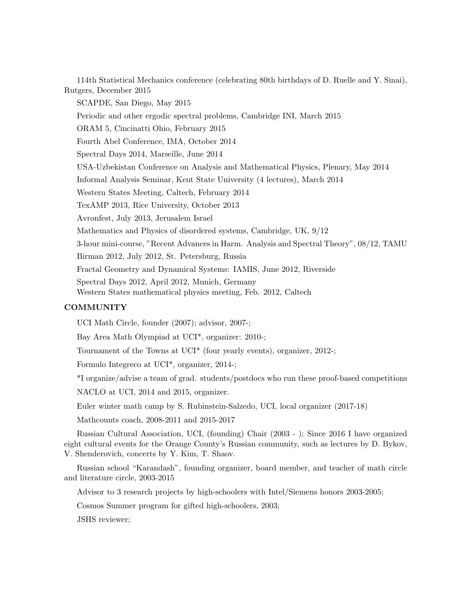114th Statistical Mechanics conference (celebrating 80th birthdays of D. Ruelle and Y. Sinai), Rutgers, December 2015

SCAPDE, San Diego, May 2015

Periodic and other ergodic spectral problems, Cambridge INI, March 2015

ORAM 5, Cincinatti Ohio, February 2015

Fourth Abel Conference, IMA, October 2014

Spectral Days 2014, Marseille, June 2014

USA-Uzbekistan Conference on Analysis and Mathematical Physics, Plenary, May 2014

Informal Analysis Seminar, Kent State University (4 lectures), March 2014

Western States Meeting, Caltech, February 2014

TexAMP 2013, Rice University, October 2013

Avronfest, July 2013, Jerusalem Israel

Mathematics and Physics of disordered systems, Cambridge, UK, 9/12

3-hour mini-course, "Recent Advances in Harm. Analysis and Spectral Theory", 08/12, TAMU

Birman 2012, July 2012, St. Petersburg, Russia

Fractal Geometry and Dynamical Systems: IAMIS, June 2012, Riverside

Spectral Days 2012, April 2012, Munich, Germany

Western States mathematical physics meeting, Feb. 2012, Caltech

# **COMMUNITY**

UCI Math Circle, founder (2007); advisor, 2007-;

Bay Area Math Olympiad at UCI\*, organizer: 2010-;

Tournament of the Towns at UCI\* (four yearly events), organizer, 2012-;

Formulo Integreco at UCI\*, organizer, 2014-;

\*I organize/advise a team of grad. students/postdocs who run these proof-based competitions

NACLO at UCI, 2014 and 2015, organizer.

Euler winter math camp by S. Rubinstein-Salzedo, UCI, local organizer (2017-18)

Mathcounts coach, 2008-2011 and 2015-2017

Russian Cultural Association, UCI, (founding) Chair (2003 - ); Since 2016 I have organized eight cultural events for the Orange County's Russian community, such as lectures by D. Bykov, V. Shenderovich, concerts by Y. Kim, T. Shaov.

Russian school "Karandash", founding organizer, board member, and teacher of math circle and literature circle, 2003-2015

Advisor to 3 research projects by high-schoolers with Intel/Siemens honors 2003-2005;

Cosmos Summer program for gifted high-schoolers, 2003;

JSHS reviewer;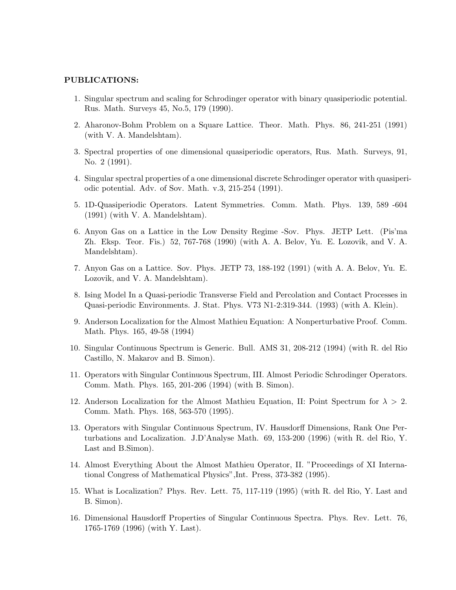#### PUBLICATIONS:

- 1. Singular spectrum and scaling for Schrodinger operator with binary quasiperiodic potential. Rus. Math. Surveys 45, No.5, 179 (1990).
- 2. Aharonov-Bohm Problem on a Square Lattice. Theor. Math. Phys. 86, 241-251 (1991) (with V. A. Mandelshtam).
- 3. Spectral properties of one dimensional quasiperiodic operators, Rus. Math. Surveys, 91, No. 2 (1991).
- 4. Singular spectral properties of a one dimensional discrete Schrodinger operator with quasiperiodic potential. Adv. of Sov. Math. v.3, 215-254 (1991).
- 5. 1D-Quasiperiodic Operators. Latent Symmetries. Comm. Math. Phys. 139, 589 -604 (1991) (with V. A. Mandelshtam).
- 6. Anyon Gas on a Lattice in the Low Density Regime -Sov. Phys. JETP Lett. (Pis'ma Zh. Eksp. Teor. Fis.) 52, 767-768 (1990) (with A. A. Belov, Yu. E. Lozovik, and V. A. Mandelshtam).
- 7. Anyon Gas on a Lattice. Sov. Phys. JETP 73, 188-192 (1991) (with A. A. Belov, Yu. E. Lozovik, and V. A. Mandelshtam).
- 8. Ising Model In a Quasi-periodic Transverse Field and Percolation and Contact Processes in Quasi-periodic Environments. J. Stat. Phys. V73 N1-2:319-344. (1993) (with A. Klein).
- 9. Anderson Localization for the Almost Mathieu Equation: A Nonperturbative Proof. Comm. Math. Phys. 165, 49-58 (1994)
- 10. Singular Continuous Spectrum is Generic. Bull. AMS 31, 208-212 (1994) (with R. del Rio Castillo, N. Makarov and B. Simon).
- 11. Operators with Singular Continuous Spectrum, III. Almost Periodic Schrodinger Operators. Comm. Math. Phys. 165, 201-206 (1994) (with B. Simon).
- 12. Anderson Localization for the Almost Mathieu Equation, II: Point Spectrum for  $\lambda > 2$ . Comm. Math. Phys. 168, 563-570 (1995).
- 13. Operators with Singular Continuous Spectrum, IV. Hausdorff Dimensions, Rank One Perturbations and Localization. J.D'Analyse Math. 69, 153-200 (1996) (with R. del Rio, Y. Last and B.Simon).
- 14. Almost Everything About the Almost Mathieu Operator, II. "Proceedings of XI International Congress of Mathematical Physics",Int. Press, 373-382 (1995).
- 15. What is Localization? Phys. Rev. Lett. 75, 117-119 (1995) (with R. del Rio, Y. Last and B. Simon).
- 16. Dimensional Hausdorff Properties of Singular Continuous Spectra. Phys. Rev. Lett. 76, 1765-1769 (1996) (with Y. Last).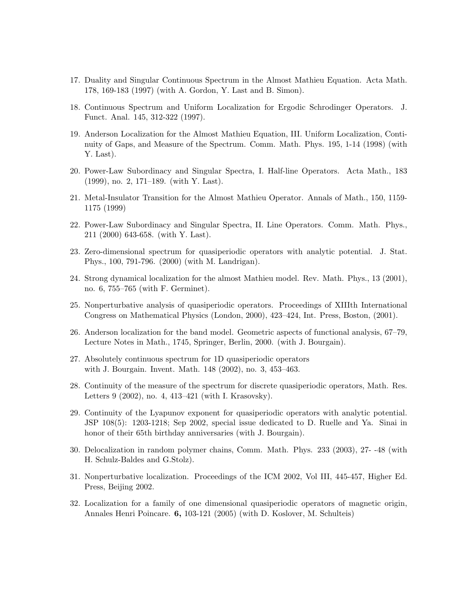- 17. Duality and Singular Continuous Spectrum in the Almost Mathieu Equation. Acta Math. 178, 169-183 (1997) (with A. Gordon, Y. Last and B. Simon).
- 18. Continuous Spectrum and Uniform Localization for Ergodic Schrodinger Operators. J. Funct. Anal. 145, 312-322 (1997).
- 19. Anderson Localization for the Almost Mathieu Equation, III. Uniform Localization, Continuity of Gaps, and Measure of the Spectrum. Comm. Math. Phys. 195, 1-14 (1998) (with Y. Last).
- 20. Power-Law Subordinacy and Singular Spectra, I. Half-line Operators. Acta Math., 183 (1999), no. 2, 171–189. (with Y. Last).
- 21. Metal-Insulator Transition for the Almost Mathieu Operator. Annals of Math., 150, 1159- 1175 (1999)
- 22. Power-Law Subordinacy and Singular Spectra, II. Line Operators. Comm. Math. Phys., 211 (2000) 643-658. (with Y. Last).
- 23. Zero-dimensional spectrum for quasiperiodic operators with analytic potential. J. Stat. Phys., 100, 791-796. (2000) (with M. Landrigan).
- 24. Strong dynamical localization for the almost Mathieu model. Rev. Math. Phys., 13 (2001), no. 6, 755–765 (with F. Germinet).
- 25. Nonperturbative analysis of quasiperiodic operators. Proceedings of XIIIth International Congress on Mathematical Physics (London, 2000), 423–424, Int. Press, Boston, (2001).
- 26. Anderson localization for the band model. Geometric aspects of functional analysis, 67–79, Lecture Notes in Math., 1745, Springer, Berlin, 2000. (with J. Bourgain).
- 27. Absolutely continuous spectrum for 1D quasiperiodic operators with J. Bourgain. Invent. Math. 148 (2002), no. 3, 453–463.
- 28. Continuity of the measure of the spectrum for discrete quasiperiodic operators, Math. Res. Letters 9 (2002), no. 4, 413–421 (with I. Krasovsky).
- 29. Continuity of the Lyapunov exponent for quasiperiodic operators with analytic potential. JSP 108(5): 1203-1218; Sep 2002, special issue dedicated to D. Ruelle and Ya. Sinai in honor of their 65th birthday anniversaries (with J. Bourgain).
- 30. Delocalization in random polymer chains, Comm. Math. Phys. 233 (2003), 27- -48 (with H. Schulz-Baldes and G.Stolz).
- 31. Nonperturbative localization. Proceedings of the ICM 2002, Vol III, 445-457, Higher Ed. Press, Beijing 2002.
- 32. Localization for a family of one dimensional quasiperiodic operators of magnetic origin, Annales Henri Poincare. 6, 103-121 (2005) (with D. Koslover, M. Schulteis)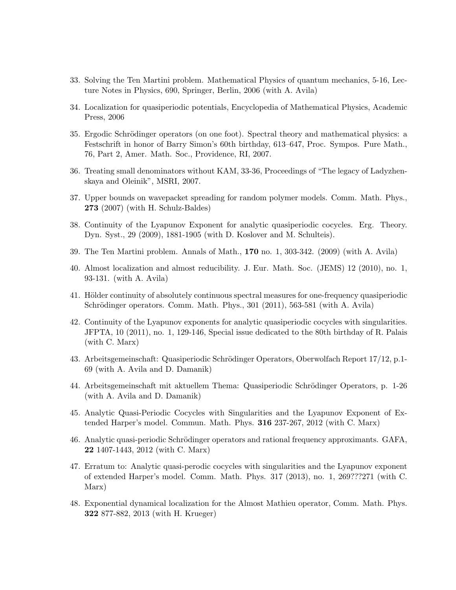- 33. Solving the Ten Martini problem. Mathematical Physics of quantum mechanics, 5-16, Lecture Notes in Physics, 690, Springer, Berlin, 2006 (with A. Avila)
- 34. Localization for quasiperiodic potentials, Encyclopedia of Mathematical Physics, Academic Press, 2006
- 35. Ergodic Schrödinger operators (on one foot). Spectral theory and mathematical physics: a Festschrift in honor of Barry Simon's 60th birthday, 613–647, Proc. Sympos. Pure Math., 76, Part 2, Amer. Math. Soc., Providence, RI, 2007.
- 36. Treating small denominators without KAM, 33-36, Proceedings of "The legacy of Ladyzhenskaya and Oleinik", MSRI, 2007.
- 37. Upper bounds on wavepacket spreading for random polymer models. Comm. Math. Phys., 273 (2007) (with H. Schulz-Baldes)
- 38. Continuity of the Lyapunov Exponent for analytic quasiperiodic cocycles. Erg. Theory. Dyn. Syst., 29 (2009), 1881-1905 (with D. Koslover and M. Schulteis).
- 39. The Ten Martini problem. Annals of Math., 170 no. 1, 303-342. (2009) (with A. Avila)
- 40. Almost localization and almost reducibility. J. Eur. Math. Soc. (JEMS) 12 (2010), no. 1, 93-131. (with A. Avila)
- 41. Hölder continuity of absolutely continuous spectral measures for one-frequency quasiperiodic Schrödinger operators. Comm. Math. Phys., 301 (2011), 563-581 (with A. Avila)
- 42. Continuity of the Lyapunov exponents for analytic quasiperiodic cocycles with singularities. JFPTA, 10 (2011), no. 1, 129-146, Special issue dedicated to the 80th birthday of R. Palais (with C. Marx)
- 43. Arbeitsgemeinschaft: Quasiperiodic Schrödinger Operators, Oberwolfach Report 17/12, p.1-69 (with A. Avila and D. Damanik)
- 44. Arbeitsgemeinschaft mit aktuellem Thema: Quasiperiodic Schrödinger Operators, p. 1-26 (with A. Avila and D. Damanik)
- 45. Analytic Quasi-Periodic Cocycles with Singularities and the Lyapunov Exponent of Extended Harper's model. Commun. Math. Phys. 316 237-267, 2012 (with C. Marx)
- 46. Analytic quasi-periodic Schrödinger operators and rational frequency approximants. GAFA, 22 1407-1443, 2012 (with C. Marx)
- 47. Erratum to: Analytic quasi-perodic cocycles with singularities and the Lyapunov exponent of extended Harper's model. Comm. Math. Phys. 317 (2013), no. 1, 269???271 (with C. Marx)
- 48. Exponential dynamical localization for the Almost Mathieu operator, Comm. Math. Phys. 322 877-882, 2013 (with H. Krueger)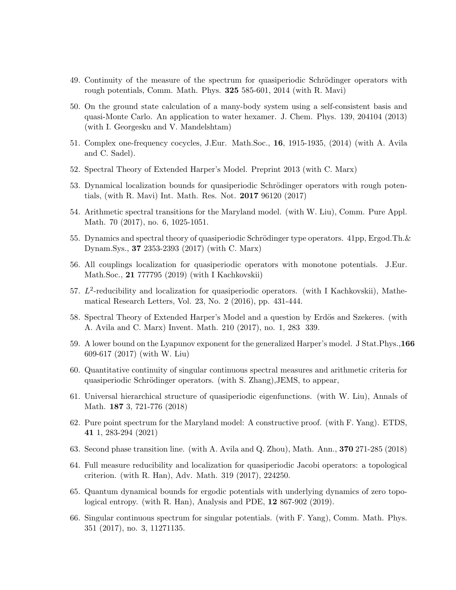- 49. Continuity of the measure of the spectrum for quasiperiodic Schrödinger operators with rough potentials, Comm. Math. Phys. 325 585-601, 2014 (with R. Mavi)
- 50. On the ground state calculation of a many-body system using a self-consistent basis and quasi-Monte Carlo. An application to water hexamer. J. Chem. Phys. 139, 204104 (2013) (with I. Georgesku and V. Mandelshtam)
- 51. Complex one-frequency cocycles, J.Eur. Math.Soc., 16, 1915-1935, (2014) (with A. Avila and C. Sadel).
- 52. Spectral Theory of Extended Harper's Model. Preprint 2013 (with C. Marx)
- 53. Dynamical localization bounds for quasiperiodic Schrödinger operators with rough potentials, (with R. Mavi) Int. Math. Res. Not. 2017 96120 (2017)
- 54. Arithmetic spectral transitions for the Maryland model. (with W. Liu), Comm. Pure Appl. Math. 70 (2017), no. 6, 1025-1051.
- 55. Dynamics and spectral theory of quasiperiodic Schrödinger type operators.  $41pp$ , Ergod.Th.  $\&$ Dynam.Sys., 37 2353-2393 (2017) (with C. Marx)
- 56. All couplings localization for quasiperiodic operators with monotone potentials. J.Eur. Math.Soc., 21 777795 (2019) (with I Kachkovskii)
- 57.  $L^2$ -reducibility and localization for quasiperiodic operators. (with I Kachkovskii), Mathematical Research Letters, Vol. 23, No. 2 (2016), pp. 431-444.
- 58. Spectral Theory of Extended Harper's Model and a question by Erdös and Szekeres. (with A. Avila and C. Marx) Invent. Math. 210 (2017), no. 1, 283 339.
- 59. A lower bound on the Lyapunov exponent for the generalized Harper's model. J Stat.Phys.,166 609-617 (2017) (with W. Liu)
- 60. Quantitative continuity of singular continuous spectral measures and arithmetic criteria for quasiperiodic Schrödinger operators. (with S. Zhang), JEMS, to appear,
- 61. Universal hierarchical structure of quasiperiodic eigenfunctions. (with W. Liu), Annals of Math. 187 3, 721-776 (2018)
- 62. Pure point spectrum for the Maryland model: A constructive proof. (with F. Yang). ETDS, 41 1, 283-294 (2021)
- 63. Second phase transition line. (with A. Avila and Q. Zhou), Math. Ann., 370 271-285 (2018)
- 64. Full measure reducibility and localization for quasiperiodic Jacobi operators: a topological criterion. (with R. Han), Adv. Math. 319 (2017), 224250.
- 65. Quantum dynamical bounds for ergodic potentials with underlying dynamics of zero topological entropy. (with R. Han), Analysis and PDE, 12 867-902 (2019).
- 66. Singular continuous spectrum for singular potentials. (with F. Yang), Comm. Math. Phys. 351 (2017), no. 3, 11271135.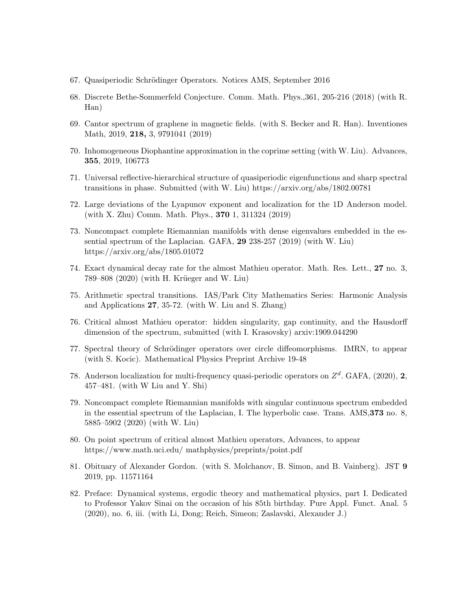- 67. Quasiperiodic Schrödinger Operators. Notices AMS, September 2016
- 68. Discrete Bethe-Sommerfeld Conjecture. Comm. Math. Phys.,361, 205-216 (2018) (with R. Han)
- 69. Cantor spectrum of graphene in magnetic fields. (with S. Becker and R. Han). Inventiones Math, 2019, 218, 3, 9791041 (2019)
- 70. Inhomogeneous Diophantine approximation in the coprime setting (with W. Liu). Advances, 355, 2019, 106773
- 71. Universal reflective-hierarchical structure of quasiperiodic eigenfunctions and sharp spectral transitions in phase. Submitted (with W. Liu) https://arxiv.org/abs/1802.00781
- 72. Large deviations of the Lyapunov exponent and localization for the 1D Anderson model. (with X. Zhu) Comm. Math. Phys., 370 1, 311324 (2019)
- 73. Noncompact complete Riemannian manifolds with dense eigenvalues embedded in the essential spectrum of the Laplacian. GAFA, 29 238-257 (2019) (with W. Liu) https://arxiv.org/abs/1805.01072
- 74. Exact dynamical decay rate for the almost Mathieu operator. Math. Res. Lett., 27 no. 3, 789–808 (2020) (with H. Krüeger and W. Liu)
- 75. Arithmetic spectral transitions. IAS/Park City Mathematics Series: Harmonic Analysis and Applications 27, 35-72. (with W. Liu and S. Zhang)
- 76. Critical almost Mathieu operator: hidden singularity, gap continuity, and the Hausdorff dimension of the spectrum, submitted (with I. Krasovsky) arxiv:1909.044290
- 77. Spectral theory of Schrödinger operators over circle diffeomorphisms. IMRN, to appear (with S. Kocic). Mathematical Physics Preprint Archive 19-48
- 78. Anderson localization for multi-frequency quasi-periodic operators on  $Z<sup>d</sup>$ . GAFA, (2020), 2, 457–481. (with W Liu and Y. Shi)
- 79. Noncompact complete Riemannian manifolds with singular continuous spectrum embedded in the essential spectrum of the Laplacian, I. The hyperbolic case. Trans. AMS,373 no. 8, 5885–5902 (2020) (with W. Liu)
- 80. On point spectrum of critical almost Mathieu operators, Advances, to appear https://www.math.uci.edu/ mathphysics/preprints/point.pdf
- 81. Obituary of Alexander Gordon. (with S. Molchanov, B. Simon, and B. Vainberg). JST 9 2019, pp. 11571164
- 82. Preface: Dynamical systems, ergodic theory and mathematical physics, part I. Dedicated to Professor Yakov Sinai on the occasion of his 85th birthday. Pure Appl. Funct. Anal. 5 (2020), no. 6, iii. (with Li, Dong; Reich, Simeon; Zaslavski, Alexander J.)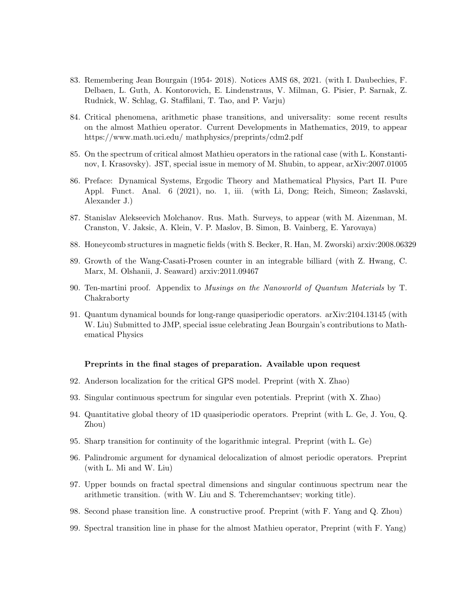- 83. Remembering Jean Bourgain (1954- 2018). Notices AMS 68, 2021. (with I. Daubechies, F. Delbaen, L. Guth, A. Kontorovich, E. Lindenstraus, V. Milman, G. Pisier, P. Sarnak, Z. Rudnick, W. Schlag, G. Staffilani, T. Tao, and P. Varju)
- 84. Critical phenomena, arithmetic phase transitions, and universality: some recent results on the almost Mathieu operator. Current Developments in Mathematics, 2019, to appear https://www.math.uci.edu/ mathphysics/preprints/cdm2.pdf
- 85. On the spectrum of critical almost Mathieu operators in the rational case (with L. Konstantinov, I. Krasovsky). JST, special issue in memory of M. Shubin, to appear, arXiv:2007.01005
- 86. Preface: Dynamical Systems, Ergodic Theory and Mathematical Physics, Part II. Pure Appl. Funct. Anal. 6 (2021), no. 1, iii. (with Li, Dong; Reich, Simeon; Zaslavski, Alexander J.)
- 87. Stanislav Alekseevich Molchanov. Rus. Math. Surveys, to appear (with M. Aizenman, M. Cranston, V. Jaksic, A. Klein, V. P. Maslov, B. Simon, B. Vainberg, E. Yarovaya)
- 88. Honeycomb structures in magnetic fields (with S. Becker, R. Han, M. Zworski) arxiv:2008.06329
- 89. Growth of the Wang-Casati-Prosen counter in an integrable billiard (with Z. Hwang, C. Marx, M. Olshanii, J. Seaward) arxiv:2011.09467
- 90. Ten-martini proof. Appendix to Musings on the Nanoworld of Quantum Materials by T. Chakraborty
- 91. Quantum dynamical bounds for long-range quasiperiodic operators. arXiv:2104.13145 (with W. Liu) Submitted to JMP, special issue celebrating Jean Bourgain's contributions to Mathematical Physics

### Preprints in the final stages of preparation. Available upon request

- 92. Anderson localization for the critical GPS model. Preprint (with X. Zhao)
- 93. Singular continuous spectrum for singular even potentials. Preprint (with X. Zhao)
- 94. Quantitative global theory of 1D quasiperiodic operators. Preprint (with L. Ge, J. You, Q. Zhou)
- 95. Sharp transition for continuity of the logarithmic integral. Preprint (with L. Ge)
- 96. Palindromic argument for dynamical delocalization of almost periodic operators. Preprint (with L. Mi and W. Liu)
- 97. Upper bounds on fractal spectral dimensions and singular continuous spectrum near the arithmetic transition. (with W. Liu and S. Tcheremchantsev; working title).
- 98. Second phase transition line. A constructive proof. Preprint (with F. Yang and Q. Zhou)
- 99. Spectral transition line in phase for the almost Mathieu operator, Preprint (with F. Yang)